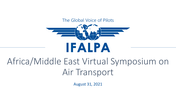#### The Global Voice of Pilots



# Africa/Middle East Virtual Symposium on Air Transport

August 31, 2021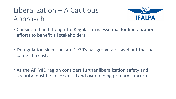# Liberalization – A Cautious Approach



- Considered and thoughtful Regulation is essential for liberalization efforts to benefit all stakeholders.
- Deregulation since the late 1970's has grown air travel but that has come at a cost.
- As the AFIMID region considers further liberalization safety and security must be an essential and overarching primary concern.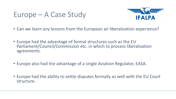### Europe – A Case Study



- Can we learn any lessons from the European air liberalization experience?
- Europe had the advantage of formal structures such as the EU Parliament/Council/Commission etc. in which to process liberalization agreements.
- Europe also had the advantage of a single Aviation Regulator, EASA.
- Europe had the ability to settle disputes formally as well with the EU Court structure.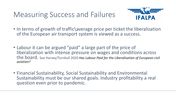## Measuring Success and Failures



- In terms of growth of traffic\average price per ticket the liberalization of the European air transport system is viewed as a success.
- Labour it can be argued "paid" a large part of the price of liberalization with intense pressure on wages and conditions across the board. See Harvey/Turnbull 2020 *Has Labour Paid for the Liberalisation of European civil aviation?*
- Financial Sustainability, Social Sustainability and Environmental Sustainability must be our shared goals. Industry profitability a real question even prior to pandemic.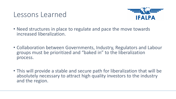#### Lessons Learned



- Need structures in place to regulate and pace the move towards increased liberalization.
- Collaboration between Governments, Industry, Regulators and Labour groups must be prioritized and "baked in" to the liberalization process.
- This will provide a stable and secure path for liberalization that will be absolutely necessary to attract high quality investors to the industry and the region.